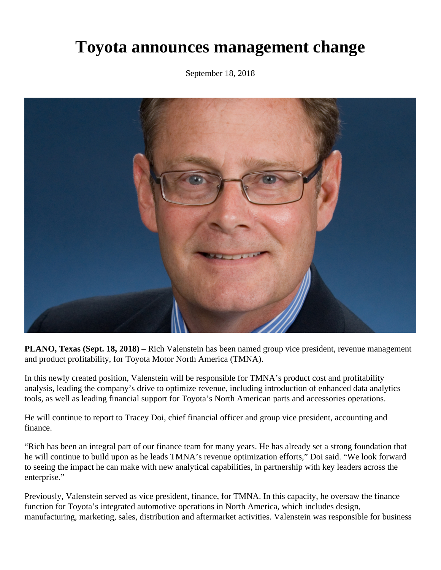## **Toyota announces management change**

September 18, 2018



**PLANO, Texas (Sept. 18, 2018)** – Rich Valenstein has been named group vice president, revenue management and product profitability, for Toyota Motor North America (TMNA).

In this newly created position, Valenstein will be responsible for TMNA's product cost and profitability analysis, leading the company's drive to optimize revenue, including introduction of enhanced data analytics tools, as well as leading financial support for Toyota's North American parts and accessories operations.

He will continue to report to Tracey Doi, chief financial officer and group vice president, accounting and finance.

"Rich has been an integral part of our finance team for many years. He has already set a strong foundation that he will continue to build upon as he leads TMNA's revenue optimization efforts," Doi said. "We look forward to seeing the impact he can make with new analytical capabilities, in partnership with key leaders across the enterprise."

Previously, Valenstein served as vice president, finance, for TMNA. In this capacity, he oversaw the finance function for Toyota's integrated automotive operations in North America, which includes design, manufacturing, marketing, sales, distribution and aftermarket activities. Valenstein was responsible for business